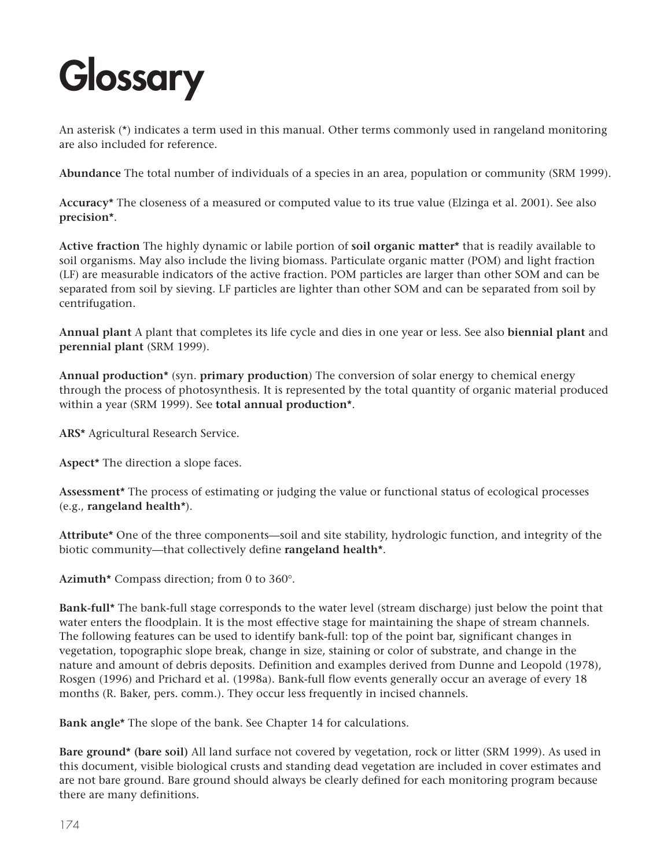An asterisk (\*) indicates a term used in this manual. Other terms commonly used in rangeland monitoring are also included for reference.

**Abundance** The total number of individuals of a species in an area, population or community (SRM 1999).

**Accuracy\*** The closeness of a measured or computed value to its true value (Elzinga et al. 2001). See also **precision\***.

**Active fraction** The highly dynamic or labile portion of **soil organic matter\*** that is readily available to soil organisms. May also include the living biomass. Particulate organic matter (POM) and light fraction (LF) are measurable indicators of the active fraction. POM particles are larger than other SOM and can be separated from soil by sieving. LF particles are lighter than other SOM and can be separated from soil by centrifugation.

**Annual plant** A plant that completes its life cycle and dies in one year or less. See also **biennial plant** and **perennial plant** (SRM 1999).

**Annual production\*** (syn. **primary production**) The conversion of solar energy to chemical energy through the process of photosynthesis. It is represented by the total quantity of organic material produced within a year (SRM 1999). See **total annual production\***.

**ARS\*** Agricultural Research Service.

**Aspect\*** The direction a slope faces.

**Assessment\*** The process of estimating or judging the value or functional status of ecological processes (e.g., **rangeland health\***).

**Attribute\*** One of the three components—soil and site stability, hydrologic function, and integrity of the biotic community—that collectively define **rangeland health\***.

**Azimuth\*** Compass direction; from 0 to 360°.

**Bank-full\*** The bank-full stage corresponds to the water level (stream discharge) just below the point that water enters the floodplain. It is the most effective stage for maintaining the shape of stream channels. The following features can be used to identify bank-full: top of the point bar, significant changes in vegetation, topographic slope break, change in size, staining or color of substrate, and change in the nature and amount of debris deposits. Definition and examples derived from Dunne and Leopold (1978), Rosgen (1996) and Prichard et al. (1998a). Bank-full flow events generally occur an average of every 18 months (R. Baker, pers. comm.). They occur less frequently in incised channels.

**Bank angle\*** The slope of the bank. See Chapter 14 for calculations.

**Bare ground\* (bare soil)** All land surface not covered by vegetation, rock or litter (SRM 1999). As used in this document, visible biological crusts and standing dead vegetation are included in cover estimates and are not bare ground. Bare ground should always be clearly defined for each monitoring program because there are many definitions.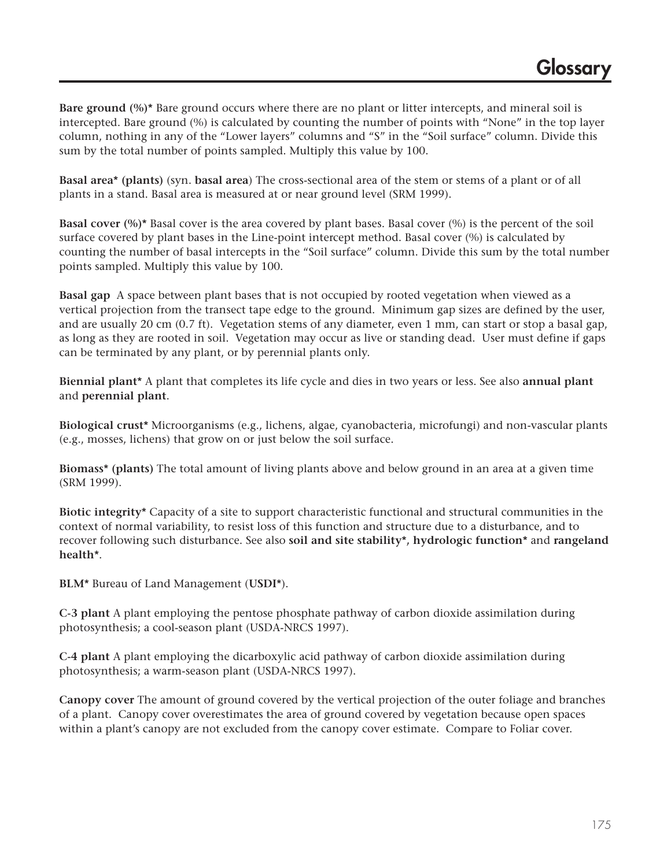**Bare ground (%)\*** Bare ground occurs where there are no plant or litter intercepts, and mineral soil is intercepted. Bare ground (%) is calculated by counting the number of points with "None" in the top layer column, nothing in any of the "Lower layers" columns and "S" in the "Soil surface" column. Divide this sum by the total number of points sampled. Multiply this value by 100.

**Basal area\* (plants)** (syn. **basal area**) The cross-sectional area of the stem or stems of a plant or of all plants in a stand. Basal area is measured at or near ground level (SRM 1999).

**Basal cover (%)\*** Basal cover is the area covered by plant bases. Basal cover (%) is the percent of the soil surface covered by plant bases in the Line-point intercept method. Basal cover (%) is calculated by counting the number of basal intercepts in the "Soil surface" column. Divide this sum by the total number points sampled. Multiply this value by 100.

**Basal gap** A space between plant bases that is not occupied by rooted vegetation when viewed as a vertical projection from the transect tape edge to the ground. Minimum gap sizes are defined by the user, and are usually 20 cm (0.7 ft). Vegetation stems of any diameter, even 1 mm, can start or stop a basal gap, as long as they are rooted in soil. Vegetation may occur as live or standing dead. User must define if gaps can be terminated by any plant, or by perennial plants only.

**Biennial plant\*** A plant that completes its life cycle and dies in two years or less. See also **annual plant** and **perennial plant**.

**Biological crust\*** Microorganisms (e.g., lichens, algae, cyanobacteria, microfungi) and non-vascular plants (e.g., mosses, lichens) that grow on or just below the soil surface.

**Biomass\* (plants)** The total amount of living plants above and below ground in an area at a given time (SRM 1999).

**Biotic integrity\*** Capacity of a site to support characteristic functional and structural communities in the context of normal variability, to resist loss of this function and structure due to a disturbance, and to recover following such disturbance. See also **soil and site stability\*, hydrologic function\*** and **rangeland health\***.

**BLM\*** Bureau of Land Management (**USDI\***).

**C-3 plant** A plant employing the pentose phosphate pathway of carbon dioxide assimilation during photosynthesis; a cool-season plant (USDA-NRCS 1997).

**C-4 plant** A plant employing the dicarboxylic acid pathway of carbon dioxide assimilation during photosynthesis; a warm-season plant (USDA-NRCS 1997).

**Canopy cover** The amount of ground covered by the vertical projection of the outer foliage and branches of a plant. Canopy cover overestimates the area of ground covered by vegetation because open spaces within a plant's canopy are not excluded from the canopy cover estimate. Compare to Foliar cover.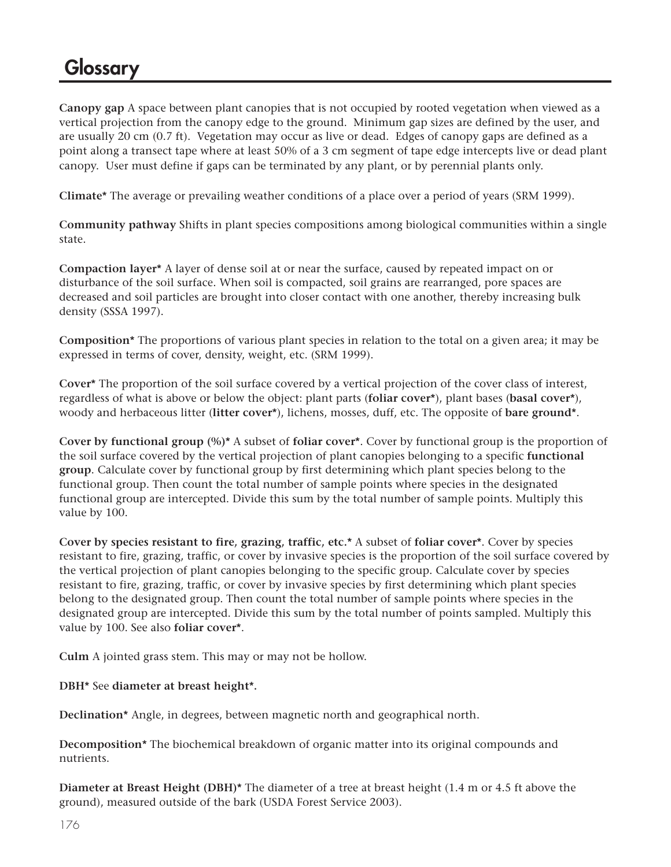**Canopy gap** A space between plant canopies that is not occupied by rooted vegetation when viewed as a vertical projection from the canopy edge to the ground. Minimum gap sizes are defined by the user, and are usually 20 cm (0.7 ft). Vegetation may occur as live or dead. Edges of canopy gaps are defined as a point along a transect tape where at least 50% of a 3 cm segment of tape edge intercepts live or dead plant canopy. User must define if gaps can be terminated by any plant, or by perennial plants only.

**Climate\*** The average or prevailing weather conditions of a place over a period of years (SRM 1999).

**Community pathway** Shifts in plant species compositions among biological communities within a single state.

**Compaction layer\*** A layer of dense soil at or near the surface, caused by repeated impact on or disturbance of the soil surface. When soil is compacted, soil grains are rearranged, pore spaces are decreased and soil particles are brought into closer contact with one another, thereby increasing bulk density (SSSA 1997).

**Composition\*** The proportions of various plant species in relation to the total on a given area; it may be expressed in terms of cover, density, weight, etc. (SRM 1999).

**Cover\*** The proportion of the soil surface covered by a vertical projection of the cover class of interest, regardless of what is above or below the object: plant parts (**foliar cover\***), plant bases (**basal cover\***), woody and herbaceous litter (**litter cover\***), lichens, mosses, duff, etc. The opposite of **bare ground\***.

**Cover by functional group (%)\*** A subset of **foliar cover\***. Cover by functional group is the proportion of the soil surface covered by the vertical projection of plant canopies belonging to a specific **functional group**. Calculate cover by functional group by first determining which plant species belong to the functional group. Then count the total number of sample points where species in the designated functional group are intercepted. Divide this sum by the total number of sample points. Multiply this value by 100.

**Cover by species resistant to fire, grazing, traffic, etc.\*** A subset of **foliar cover\***. Cover by species resistant to fire, grazing, traffic, or cover by invasive species is the proportion of the soil surface covered by the vertical projection of plant canopies belonging to the specific group. Calculate cover by species resistant to fire, grazing, traffic, or cover by invasive species by first determining which plant species belong to the designated group. Then count the total number of sample points where species in the designated group are intercepted. Divide this sum by the total number of points sampled. Multiply this value by 100. See also **foliar cover\***.

**Culm** A jointed grass stem. This may or may not be hollow.

#### **DBH\*** See **diameter at breast height\*.**

**Declination\*** Angle, in degrees, between magnetic north and geographical north.

**Decomposition\*** The biochemical breakdown of organic matter into its original compounds and nutrients.

**Diameter at Breast Height (DBH)\*** The diameter of a tree at breast height (1.4 m or 4.5 ft above the ground), measured outside of the bark (USDA Forest Service 2003).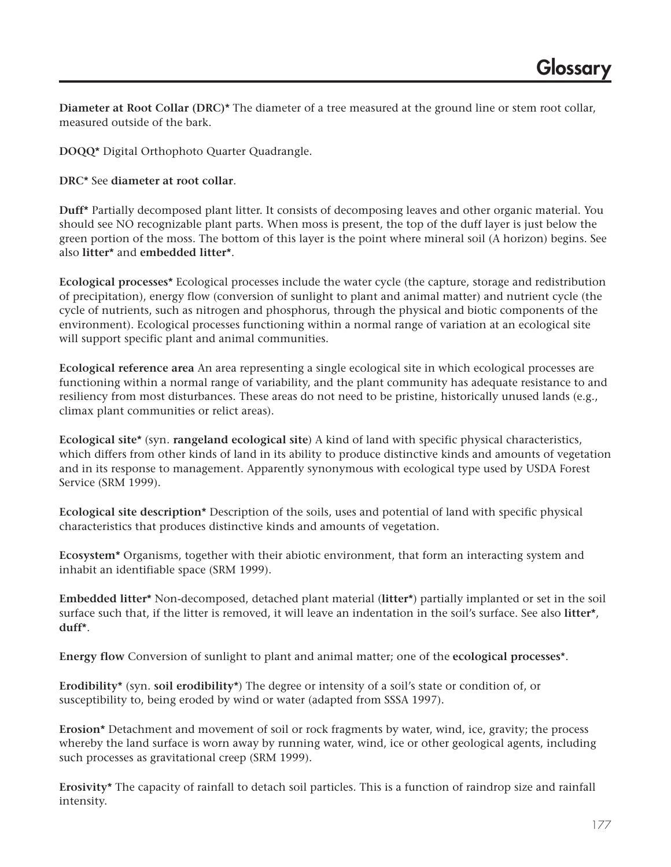**Diameter at Root Collar (DRC)\*** The diameter of a tree measured at the ground line or stem root collar, measured outside of the bark.

**DOQQ\*** Digital Orthophoto Quarter Quadrangle.

**DRC\*** See **diameter at root collar**.

**Duff\*** Partially decomposed plant litter. It consists of decomposing leaves and other organic material. You should see NO recognizable plant parts. When moss is present, the top of the duff layer is just below the green portion of the moss. The bottom of this layer is the point where mineral soil (A horizon) begins. See also **litter\*** and **embedded litter\***.

**Ecological processes\*** Ecological processes include the water cycle (the capture, storage and redistribution of precipitation), energy flow (conversion of sunlight to plant and animal matter) and nutrient cycle (the cycle of nutrients, such as nitrogen and phosphorus, through the physical and biotic components of the environment). Ecological processes functioning within a normal range of variation at an ecological site will support specific plant and animal communities.

**Ecological reference area** An area representing a single ecological site in which ecological processes are functioning within a normal range of variability, and the plant community has adequate resistance to and resiliency from most disturbances. These areas do not need to be pristine, historically unused lands (e.g., climax plant communities or relict areas).

**Ecological site\*** (syn. **rangeland ecological site**) A kind of land with specific physical characteristics, which differs from other kinds of land in its ability to produce distinctive kinds and amounts of vegetation and in its response to management. Apparently synonymous with ecological type used by USDA Forest Service (SRM 1999).

**Ecological site description\*** Description of the soils, uses and potential of land with specific physical characteristics that produces distinctive kinds and amounts of vegetation.

**Ecosystem\*** Organisms, together with their abiotic environment, that form an interacting system and inhabit an identifiable space (SRM 1999).

**Embedded litter\*** Non-decomposed, detached plant material (**litter\***) partially implanted or set in the soil surface such that, if the litter is removed, it will leave an indentation in the soil's surface. See also **litter\***, **duff\***.

**Energy flow** Conversion of sunlight to plant and animal matter; one of the **ecological processes**\*.

**Erodibility\*** (syn. **soil erodibility\***) The degree or intensity of a soil's state or condition of, or susceptibility to, being eroded by wind or water (adapted from SSSA 1997).

**Erosion\*** Detachment and movement of soil or rock fragments by water, wind, ice, gravity; the process whereby the land surface is worn away by running water, wind, ice or other geological agents, including such processes as gravitational creep (SRM 1999).

**Erosivity\*** The capacity of rainfall to detach soil particles. This is a function of raindrop size and rainfall intensity.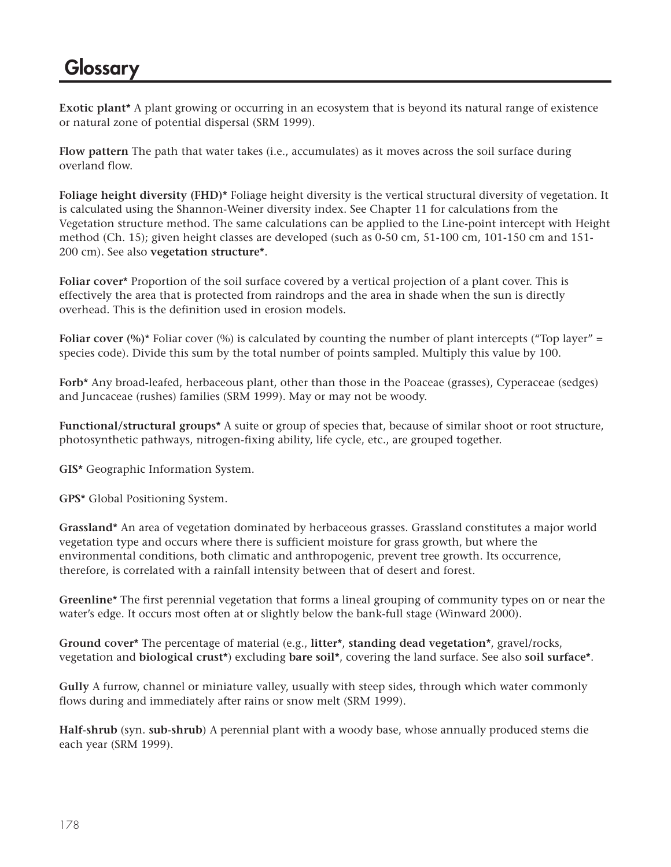**Exotic plant\*** A plant growing or occurring in an ecosystem that is beyond its natural range of existence or natural zone of potential dispersal (SRM 1999).

**Flow pattern** The path that water takes (i.e., accumulates) as it moves across the soil surface during overland flow.

**Foliage height diversity (FHD)\*** Foliage height diversity is the vertical structural diversity of vegetation. It is calculated using the Shannon-Weiner diversity index. See Chapter 11 for calculations from the Vegetation structure method. The same calculations can be applied to the Line-point intercept with Height method (Ch. 15); given height classes are developed (such as 0-50 cm, 51-100 cm, 101-150 cm and 151- 200 cm). See also **vegetation structure\***.

**Foliar cover\*** Proportion of the soil surface covered by a vertical projection of a plant cover. This is effectively the area that is protected from raindrops and the area in shade when the sun is directly overhead. This is the definition used in erosion models.

**Foliar cover (%)**\* Foliar cover (%) is calculated by counting the number of plant intercepts ("Top layer" = species code). Divide this sum by the total number of points sampled. Multiply this value by 100.

**Forb\*** Any broad-leafed, herbaceous plant, other than those in the Poaceae (grasses), Cyperaceae (sedges) and Juncaceae (rushes) families (SRM 1999). May or may not be woody.

**Functional/structural groups\*** A suite or group of species that, because of similar shoot or root structure, photosynthetic pathways, nitrogen-fixing ability, life cycle, etc., are grouped together.

**GIS\*** Geographic Information System.

**GPS\*** Global Positioning System.

**Grassland\*** An area of vegetation dominated by herbaceous grasses. Grassland constitutes a major world vegetation type and occurs where there is sufficient moisture for grass growth, but where the environmental conditions, both climatic and anthropogenic, prevent tree growth. Its occurrence, therefore, is correlated with a rainfall intensity between that of desert and forest.

**Greenline**\* The first perennial vegetation that forms a lineal grouping of community types on or near the water's edge. It occurs most often at or slightly below the bank-full stage (Winward 2000).

**Ground cover\*** The percentage of material (e.g., **litter\***, **standing dead vegetation\***, gravel/rocks, vegetation and **biological crust\***) excluding **bare soil\***, covering the land surface. See also **soil surface\***.

**Gully** A furrow, channel or miniature valley, usually with steep sides, through which water commonly flows during and immediately after rains or snow melt (SRM 1999).

**Half-shrub** (syn. **sub-shrub**) A perennial plant with a woody base, whose annually produced stems die each year (SRM 1999).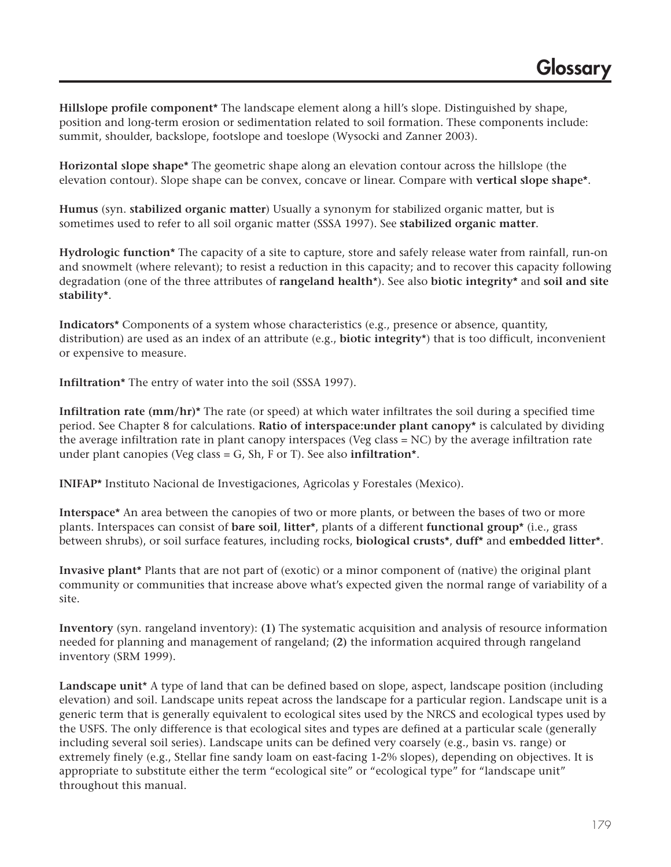**Hillslope profile component\*** The landscape element along a hill's slope. Distinguished by shape, position and long-term erosion or sedimentation related to soil formation. These components include: summit, shoulder, backslope, footslope and toeslope (Wysocki and Zanner 2003).

**Horizontal slope shape\*** The geometric shape along an elevation contour across the hillslope (the elevation contour). Slope shape can be convex, concave or linear. Compare with **vertical slope shape\***.

**Humus** (syn. **stabilized organic matter**) Usually a synonym for stabilized organic matter, but is sometimes used to refer to all soil organic matter (SSSA 1997). See **stabilized organic matter**.

**Hydrologic function\*** The capacity of a site to capture, store and safely release water from rainfall, run-on and snowmelt (where relevant); to resist a reduction in this capacity; and to recover this capacity following degradation (one of the three attributes of **rangeland health**\*). See also **biotic integrity\*** and **soil and site stability\***.

**Indicators\*** Components of a system whose characteristics (e.g., presence or absence, quantity, distribution) are used as an index of an attribute (e.g., **biotic integrity**\*) that is too difficult, inconvenient or expensive to measure.

**Infiltration\*** The entry of water into the soil (SSSA 1997).

**Infiltration rate (mm/hr)\*** The rate (or speed) at which water infiltrates the soil during a specified time period. See Chapter 8 for calculations. **Ratio of interspace:under plant canopy\*** is calculated by dividing the average infiltration rate in plant canopy interspaces (Veg class = NC) by the average infiltration rate under plant canopies (Veg class = G, Sh, F or T). See also **infiltration\***.

**INIFAP\*** Instituto Nacional de Investigaciones, Agricolas y Forestales (Mexico).

**Interspace\*** An area between the canopies of two or more plants, or between the bases of two or more plants. Interspaces can consist of **bare soil**, **litter\***, plants of a different **functional group\*** (i.e., grass between shrubs), or soil surface features, including rocks, **biological crusts\***, **duff\*** and **embedded litter\***.

**Invasive plant\*** Plants that are not part of (exotic) or a minor component of (native) the original plant community or communities that increase above what's expected given the normal range of variability of a site.

**Inventory** (syn. rangeland inventory): **(1)** The systematic acquisition and analysis of resource information needed for planning and management of rangeland; **(2)** the information acquired through rangeland inventory (SRM 1999).

**Landscape unit**\* A type of land that can be defined based on slope, aspect, landscape position (including elevation) and soil. Landscape units repeat across the landscape for a particular region. Landscape unit is a generic term that is generally equivalent to ecological sites used by the NRCS and ecological types used by the USFS. The only difference is that ecological sites and types are defined at a particular scale (generally including several soil series). Landscape units can be defined very coarsely (e.g., basin vs. range) or extremely finely (e.g., Stellar fine sandy loam on east-facing 1-2% slopes), depending on objectives. It is appropriate to substitute either the term "ecological site" or "ecological type" for "landscape unit" throughout this manual.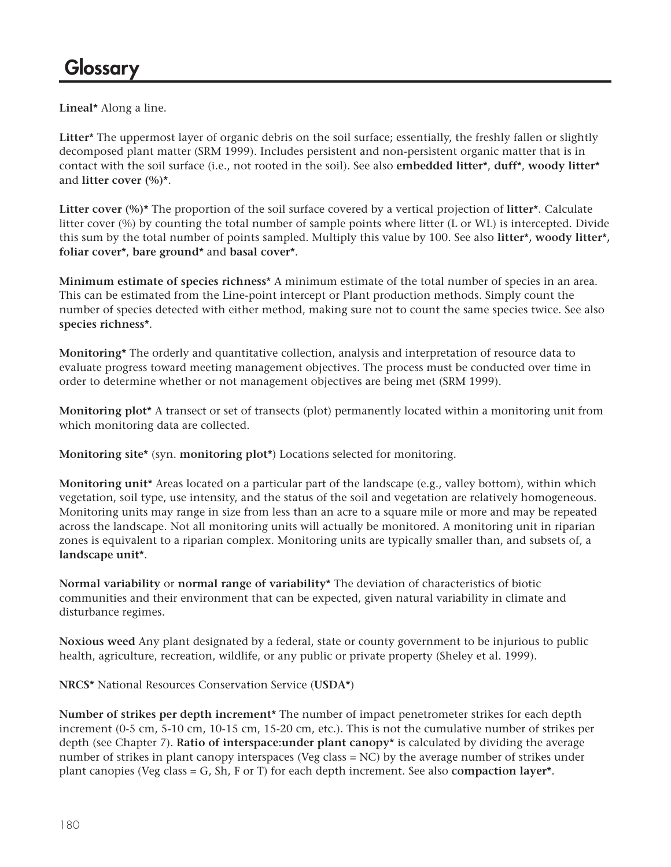**Lineal\*** Along a line.

**Litter\*** The uppermost layer of organic debris on the soil surface; essentially, the freshly fallen or slightly decomposed plant matter (SRM 1999). Includes persistent and non-persistent organic matter that is in contact with the soil surface (i.e., not rooted in the soil). See also **embedded litter\***, **duff\***, **woody litter\*** and **litter cover (%)\***.

**Litter cover (%)\*** The proportion of the soil surface covered by a vertical projection of **litter**\*. Calculate litter cover (%) by counting the total number of sample points where litter (L or WL) is intercepted. Divide this sum by the total number of points sampled. Multiply this value by 100. See also **litter\*, woody litter\*, foliar cover\***, **bare ground\*** and **basal cover\***.

**Minimum estimate of species richness**\* A minimum estimate of the total number of species in an area. This can be estimated from the Line-point intercept or Plant production methods. Simply count the number of species detected with either method, making sure not to count the same species twice. See also **species richness\***.

**Monitoring\*** The orderly and quantitative collection, analysis and interpretation of resource data to evaluate progress toward meeting management objectives. The process must be conducted over time in order to determine whether or not management objectives are being met (SRM 1999).

**Monitoring plot\*** A transect or set of transects (plot) permanently located within a monitoring unit from which monitoring data are collected.

**Monitoring site\*** (syn. **monitoring plot\***) Locations selected for monitoring.

**Monitoring unit\*** Areas located on a particular part of the landscape (e.g., valley bottom), within which vegetation, soil type, use intensity, and the status of the soil and vegetation are relatively homogeneous. Monitoring units may range in size from less than an acre to a square mile or more and may be repeated across the landscape. Not all monitoring units will actually be monitored. A monitoring unit in riparian zones is equivalent to a riparian complex. Monitoring units are typically smaller than, and subsets of, a **landscape unit\***.

**Normal variability** or **normal range of variability\*** The deviation of characteristics of biotic communities and their environment that can be expected, given natural variability in climate and disturbance regimes.

**Noxious weed** Any plant designated by a federal, state or county government to be injurious to public health, agriculture, recreation, wildlife, or any public or private property (Sheley et al. 1999).

**NRCS\*** National Resources Conservation Service (**USDA\***)

**Number of strikes per depth increment\*** The number of impact penetrometer strikes for each depth increment (0-5 cm, 5-10 cm, 10-15 cm, 15-20 cm, etc.). This is not the cumulative number of strikes per depth (see Chapter 7). **Ratio of interspace:under plant canopy\*** is calculated by dividing the average number of strikes in plant canopy interspaces (Veg class = NC) by the average number of strikes under plant canopies (Veg class = G, Sh, F or T) for each depth increment. See also **compaction layer\***.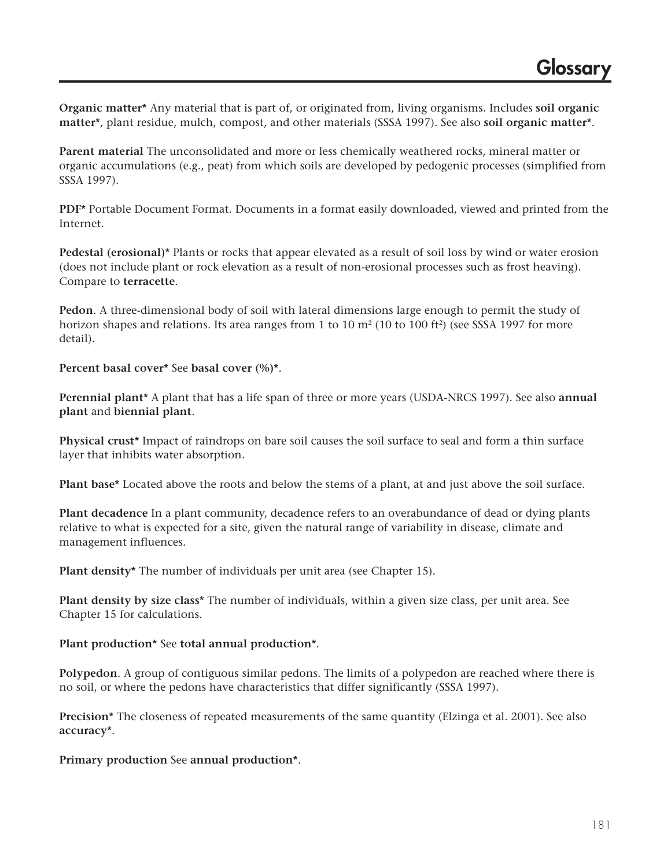**Organic matter\*** Any material that is part of, or originated from, living organisms. Includes **soil organic matter\***, plant residue, mulch, compost, and other materials (SSSA 1997). See also **soil organic matter\***.

**Parent material** The unconsolidated and more or less chemically weathered rocks, mineral matter or organic accumulations (e.g., peat) from which soils are developed by pedogenic processes (simplified from SSSA 1997).

**PDF\*** Portable Document Format. Documents in a format easily downloaded, viewed and printed from the Internet.

**Pedestal (erosional)\*** Plants or rocks that appear elevated as a result of soil loss by wind or water erosion (does not include plant or rock elevation as a result of non-erosional processes such as frost heaving). Compare to **terracette**.

**Pedon**. A three-dimensional body of soil with lateral dimensions large enough to permit the study of horizon shapes and relations. Its area ranges from 1 to 10  $m<sup>2</sup>$  (10 to 100 ft<sup>2</sup>) (see SSSA 1997 for more detail).

**Percent basal cover\*** See **basal cover (%)\***.

**Perennial plant\*** A plant that has a life span of three or more years (USDA-NRCS 1997). See also **annual plant** and **biennial plant**.

**Physical crust\*** Impact of raindrops on bare soil causes the soil surface to seal and form a thin surface layer that inhibits water absorption.

**Plant base\*** Located above the roots and below the stems of a plant, at and just above the soil surface.

**Plant decadence** In a plant community, decadence refers to an overabundance of dead or dying plants relative to what is expected for a site, given the natural range of variability in disease, climate and management influences.

**Plant density\*** The number of individuals per unit area (see Chapter 15).

**Plant density by size class\*** The number of individuals, within a given size class, per unit area. See Chapter 15 for calculations.

**Plant production\*** See **total annual production\***.

**Polypedon**. A group of contiguous similar pedons. The limits of a polypedon are reached where there is no soil, or where the pedons have characteristics that differ significantly (SSSA 1997).

**Precision\*** The closeness of repeated measurements of the same quantity (Elzinga et al. 2001). See also **accuracy\***.

**Primary production** See **annual production\***.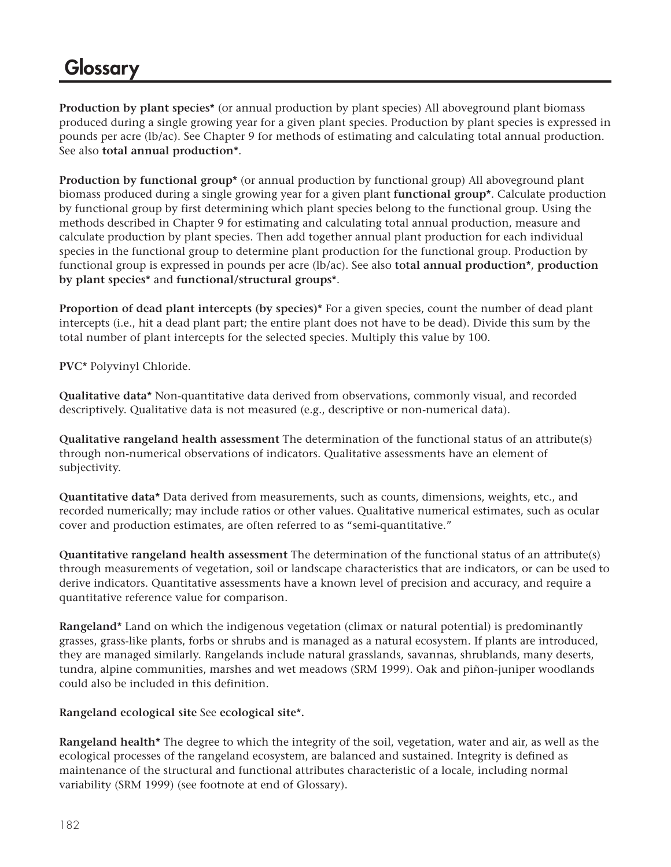**Production by plant species\*** (or annual production by plant species) All aboveground plant biomass produced during a single growing year for a given plant species. Production by plant species is expressed in pounds per acre (lb/ac). See Chapter 9 for methods of estimating and calculating total annual production. See also **total annual production\***.

**Production by functional group\*** (or annual production by functional group) All aboveground plant biomass produced during a single growing year for a given plant **functional group\***. Calculate production by functional group by first determining which plant species belong to the functional group. Using the methods described in Chapter 9 for estimating and calculating total annual production, measure and calculate production by plant species. Then add together annual plant production for each individual species in the functional group to determine plant production for the functional group. Production by functional group is expressed in pounds per acre (lb/ac). See also **total annual production\***, **production by plant species\*** and **functional/structural groups\***.

**Proportion of dead plant intercepts (by species)\*** For a given species, count the number of dead plant intercepts (i.e., hit a dead plant part; the entire plant does not have to be dead). Divide this sum by the total number of plant intercepts for the selected species. Multiply this value by 100.

**PVC\*** Polyvinyl Chloride.

**Qualitative data\*** Non-quantitative data derived from observations, commonly visual, and recorded descriptively. Qualitative data is not measured (e.g., descriptive or non-numerical data).

**Qualitative rangeland health assessment** The determination of the functional status of an attribute(s) through non-numerical observations of indicators. Qualitative assessments have an element of subjectivity.

**Quantitative data\*** Data derived from measurements, such as counts, dimensions, weights, etc., and recorded numerically; may include ratios or other values. Qualitative numerical estimates, such as ocular cover and production estimates, are often referred to as "semi-quantitative."

**Quantitative rangeland health assessment** The determination of the functional status of an attribute(s) through measurements of vegetation, soil or landscape characteristics that are indicators, or can be used to derive indicators. Quantitative assessments have a known level of precision and accuracy, and require a quantitative reference value for comparison.

**Rangeland\*** Land on which the indigenous vegetation (climax or natural potential) is predominantly grasses, grass-like plants, forbs or shrubs and is managed as a natural ecosystem. If plants are introduced, they are managed similarly. Rangelands include natural grasslands, savannas, shrublands, many deserts, tundra, alpine communities, marshes and wet meadows (SRM 1999). Oak and piñon-juniper woodlands could also be included in this definition.

#### **Rangeland ecological site** See **ecological site\*.**

**Rangeland health\*** The degree to which the integrity of the soil, vegetation, water and air, as well as the ecological processes of the rangeland ecosystem, are balanced and sustained. Integrity is defined as maintenance of the structural and functional attributes characteristic of a locale, including normal variability (SRM 1999) (see footnote at end of Glossary).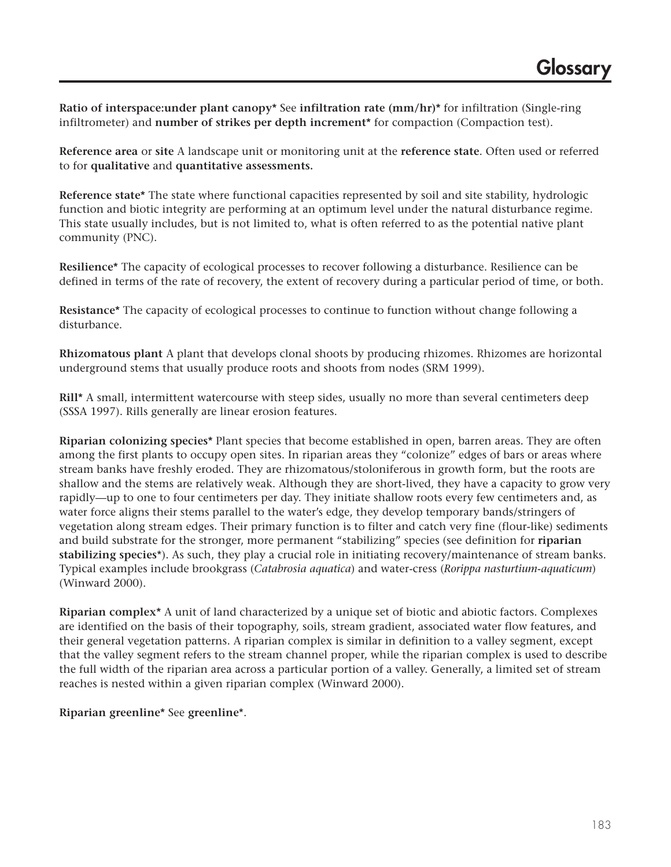**Ratio of interspace:under plant canopy\*** See **infiltration rate (mm/hr)\*** for infiltration (Single-ring infiltrometer) and **number of strikes per depth increment\*** for compaction (Compaction test).

**Reference area** or **site** A landscape unit or monitoring unit at the **reference state**. Often used or referred to for **qualitative** and **quantitative assessments.**

**Reference state\*** The state where functional capacities represented by soil and site stability, hydrologic function and biotic integrity are performing at an optimum level under the natural disturbance regime. This state usually includes, but is not limited to, what is often referred to as the potential native plant community (PNC).

**Resilience\*** The capacity of ecological processes to recover following a disturbance. Resilience can be defined in terms of the rate of recovery, the extent of recovery during a particular period of time, or both.

**Resistance\*** The capacity of ecological processes to continue to function without change following a disturbance.

**Rhizomatous plant** A plant that develops clonal shoots by producing rhizomes. Rhizomes are horizontal underground stems that usually produce roots and shoots from nodes (SRM 1999).

**Rill\*** A small, intermittent watercourse with steep sides, usually no more than several centimeters deep (SSSA 1997). Rills generally are linear erosion features.

**Riparian colonizing species\*** Plant species that become established in open, barren areas. They are often among the first plants to occupy open sites. In riparian areas they "colonize" edges of bars or areas where stream banks have freshly eroded. They are rhizomatous/stoloniferous in growth form, but the roots are shallow and the stems are relatively weak. Although they are short-lived, they have a capacity to grow very rapidly—up to one to four centimeters per day. They initiate shallow roots every few centimeters and, as water force aligns their stems parallel to the water's edge, they develop temporary bands/stringers of vegetation along stream edges. Their primary function is to filter and catch very fine (flour-like) sediments and build substrate for the stronger, more permanent "stabilizing" species (see definition for **riparian stabilizing species**\*). As such, they play a crucial role in initiating recovery/maintenance of stream banks. Typical examples include brookgrass (*Catabrosia aquatica*) and water-cress (*Rorippa nasturtium-aquaticum*) (Winward 2000).

**Riparian complex\*** A unit of land characterized by a unique set of biotic and abiotic factors. Complexes are identified on the basis of their topography, soils, stream gradient, associated water flow features, and their general vegetation patterns. A riparian complex is similar in definition to a valley segment, except that the valley segment refers to the stream channel proper, while the riparian complex is used to describe the full width of the riparian area across a particular portion of a valley. Generally, a limited set of stream reaches is nested within a given riparian complex (Winward 2000).

**Riparian greenline\*** See **greenline**\*.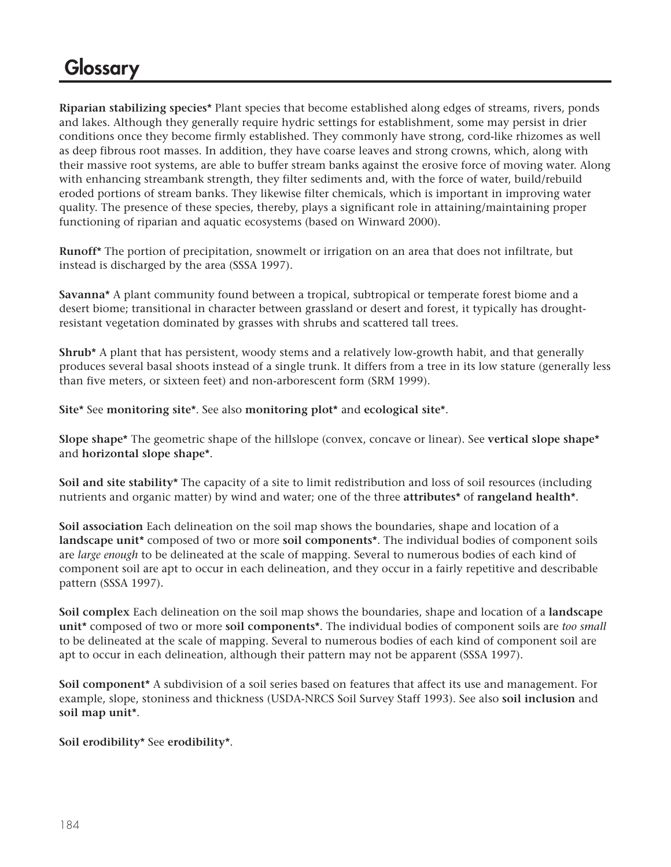**Riparian stabilizing species\*** Plant species that become established along edges of streams, rivers, ponds and lakes. Although they generally require hydric settings for establishment, some may persist in drier conditions once they become firmly established. They commonly have strong, cord-like rhizomes as well as deep fibrous root masses. In addition, they have coarse leaves and strong crowns, which, along with their massive root systems, are able to buffer stream banks against the erosive force of moving water. Along with enhancing streambank strength, they filter sediments and, with the force of water, build/rebuild eroded portions of stream banks. They likewise filter chemicals, which is important in improving water quality. The presence of these species, thereby, plays a significant role in attaining/maintaining proper functioning of riparian and aquatic ecosystems (based on Winward 2000).

**Runoff\*** The portion of precipitation, snowmelt or irrigation on an area that does not infiltrate, but instead is discharged by the area (SSSA 1997).

**Savanna\*** A plant community found between a tropical, subtropical or temperate forest biome and a desert biome; transitional in character between grassland or desert and forest, it typically has droughtresistant vegetation dominated by grasses with shrubs and scattered tall trees.

**Shrub\*** A plant that has persistent, woody stems and a relatively low-growth habit, and that generally produces several basal shoots instead of a single trunk. It differs from a tree in its low stature (generally less than five meters, or sixteen feet) and non-arborescent form (SRM 1999).

**Site\*** See **monitoring site\***. See also **monitoring plot\*** and **ecological site\***.

**Slope shape\*** The geometric shape of the hillslope (convex, concave or linear). See **vertical slope shape\*** and **horizontal slope shape\***.

**Soil and site stability\*** The capacity of a site to limit redistribution and loss of soil resources (including nutrients and organic matter) by wind and water; one of the three **attributes\*** of **rangeland health\***.

**Soil association** Each delineation on the soil map shows the boundaries, shape and location of a **landscape unit\*** composed of two or more **soil components\***. The individual bodies of component soils are *large enough* to be delineated at the scale of mapping. Several to numerous bodies of each kind of component soil are apt to occur in each delineation, and they occur in a fairly repetitive and describable pattern (SSSA 1997).

**Soil complex** Each delineation on the soil map shows the boundaries, shape and location of a **landscape unit\*** composed of two or more **soil components\***. The individual bodies of component soils are *too small* to be delineated at the scale of mapping. Several to numerous bodies of each kind of component soil are apt to occur in each delineation, although their pattern may not be apparent (SSSA 1997).

**Soil component\*** A subdivision of a soil series based on features that affect its use and management. For example, slope, stoniness and thickness (USDA-NRCS Soil Survey Staff 1993). See also **soil inclusion** and **soil map unit\***.

**Soil erodibility\*** See **erodibility\***.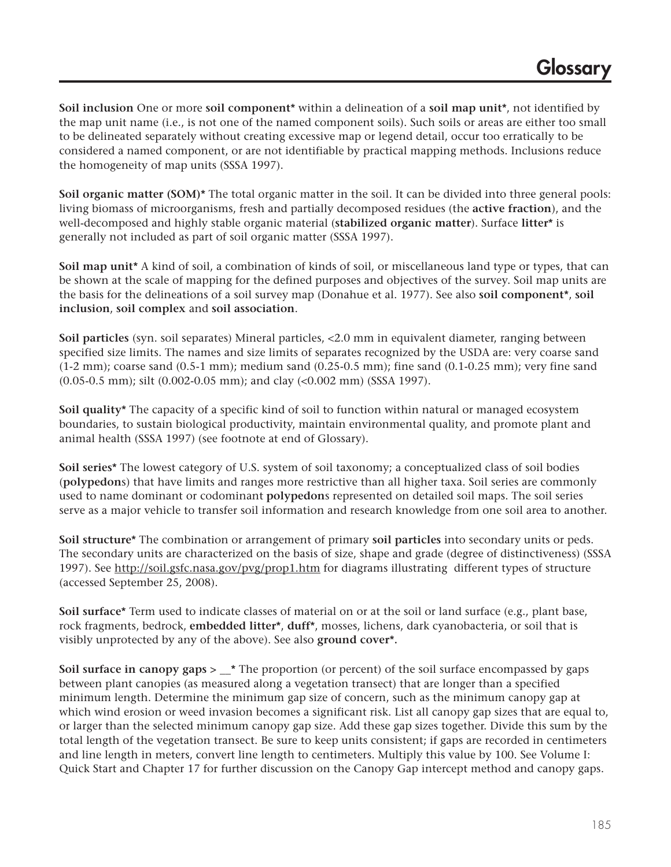**Soil inclusion** One or more **soil component\*** within a delineation of a **soil map unit\***, not identified by the map unit name (i.e., is not one of the named component soils). Such soils or areas are either too small to be delineated separately without creating excessive map or legend detail, occur too erratically to be considered a named component, or are not identifiable by practical mapping methods. Inclusions reduce the homogeneity of map units (SSSA 1997).

**Soil organic matter (SOM)\*** The total organic matter in the soil. It can be divided into three general pools: living biomass of microorganisms, fresh and partially decomposed residues (the **active fraction**), and the well-decomposed and highly stable organic material (**stabilized organic matter**). Surface **litter\*** is generally not included as part of soil organic matter (SSSA 1997).

**Soil map unit\*** A kind of soil, a combination of kinds of soil, or miscellaneous land type or types, that can be shown at the scale of mapping for the defined purposes and objectives of the survey. Soil map units are the basis for the delineations of a soil survey map (Donahue et al. 1977). See also **soil component\***, **soil inclusion**, **soil complex** and **soil association**.

**Soil particles** (syn. soil separates) Mineral particles, <2.0 mm in equivalent diameter, ranging between specified size limits. The names and size limits of separates recognized by the USDA are: very coarse sand (1-2 mm); coarse sand (0.5-1 mm); medium sand (0.25-0.5 mm); fine sand (0.1-0.25 mm); very fine sand (0.05-0.5 mm); silt (0.002-0.05 mm); and clay (<0.002 mm) (SSSA 1997).

**Soil quality\*** The capacity of a specific kind of soil to function within natural or managed ecosystem boundaries, to sustain biological productivity, maintain environmental quality, and promote plant and animal health (SSSA 1997) (see footnote at end of Glossary).

**Soil series\*** The lowest category of U.S. system of soil taxonomy; a conceptualized class of soil bodies (**polypedon**s) that have limits and ranges more restrictive than all higher taxa. Soil series are commonly used to name dominant or codominant **polypedon**s represented on detailed soil maps. The soil series serve as a major vehicle to transfer soil information and research knowledge from one soil area to another.

**Soil structure\*** The combination or arrangement of primary **soil particles** into secondary units or peds. The secondary units are characterized on the basis of size, shape and grade (degree of distinctiveness) (SSSA 1997). See http://soil.gsfc.nasa.gov/pvg/prop1.htm for diagrams illustrating different types of structure (accessed September 25, 2008).

**Soil surface\*** Term used to indicate classes of material on or at the soil or land surface (e.g., plant base, rock fragments, bedrock, **embedded litter\***, **duff\***, mosses, lichens, dark cyanobacteria, or soil that is visibly unprotected by any of the above). See also **ground cover\*.**

**Soil surface in canopy gaps >**  $*$  **The proportion (or percent) of the soil surface encompassed by gaps** between plant canopies (as measured along a vegetation transect) that are longer than a specified minimum length. Determine the minimum gap size of concern, such as the minimum canopy gap at which wind erosion or weed invasion becomes a significant risk. List all canopy gap sizes that are equal to, or larger than the selected minimum canopy gap size. Add these gap sizes together. Divide this sum by the total length of the vegetation transect. Be sure to keep units consistent; if gaps are recorded in centimeters and line length in meters, convert line length to centimeters. Multiply this value by 100. See Volume I: Quick Start and Chapter 17 for further discussion on the Canopy Gap intercept method and canopy gaps.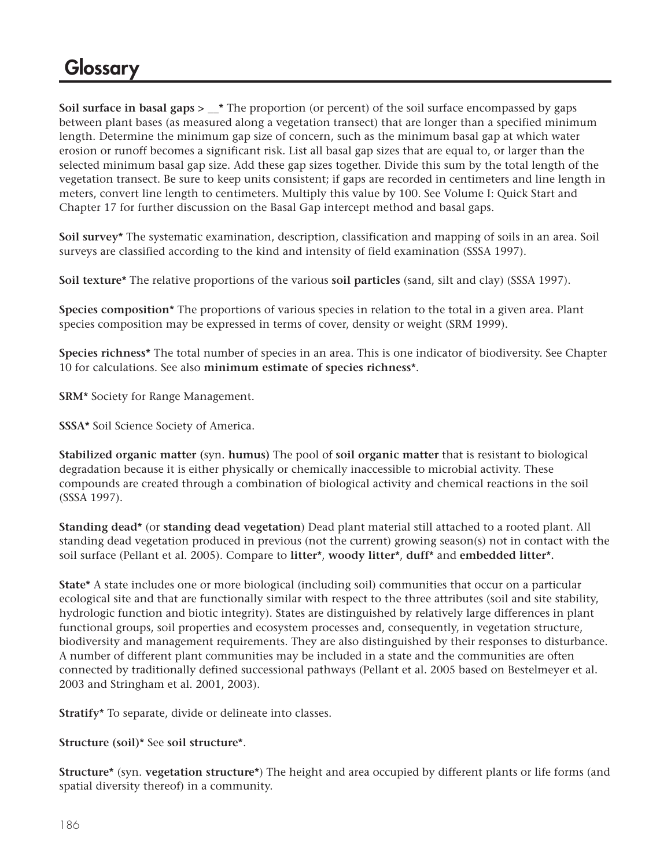**Soil surface in basal gaps > \_\_\*** The proportion (or percent) of the soil surface encompassed by gaps between plant bases (as measured along a vegetation transect) that are longer than a specified minimum length. Determine the minimum gap size of concern, such as the minimum basal gap at which water erosion or runoff becomes a significant risk. List all basal gap sizes that are equal to, or larger than the selected minimum basal gap size. Add these gap sizes together. Divide this sum by the total length of the vegetation transect. Be sure to keep units consistent; if gaps are recorded in centimeters and line length in meters, convert line length to centimeters. Multiply this value by 100. See Volume I: Quick Start and Chapter 17 for further discussion on the Basal Gap intercept method and basal gaps.

**Soil survey\*** The systematic examination, description, classification and mapping of soils in an area. Soil surveys are classified according to the kind and intensity of field examination (SSSA 1997).

**Soil texture\*** The relative proportions of the various **soil particles** (sand, silt and clay) (SSSA 1997).

**Species composition\*** The proportions of various species in relation to the total in a given area. Plant species composition may be expressed in terms of cover, density or weight (SRM 1999).

**Species richness\*** The total number of species in an area. This is one indicator of biodiversity. See Chapter 10 for calculations. See also **minimum estimate of species richness\***.

**SRM\*** Society for Range Management.

**SSSA\*** Soil Science Society of America.

**Stabilized organic matter (**syn. **humus)** The pool of **soil organic matter** that is resistant to biological degradation because it is either physically or chemically inaccessible to microbial activity. These compounds are created through a combination of biological activity and chemical reactions in the soil (SSSA 1997).

**Standing dead\*** (or **standing dead vegetation**) Dead plant material still attached to a rooted plant. All standing dead vegetation produced in previous (not the current) growing season(s) not in contact with the soil surface (Pellant et al. 2005). Compare to **litter\***, **woody litter\***, **duff\*** and **embedded litter\*.**

**State\*** A state includes one or more biological (including soil) communities that occur on a particular ecological site and that are functionally similar with respect to the three attributes (soil and site stability, hydrologic function and biotic integrity). States are distinguished by relatively large differences in plant functional groups, soil properties and ecosystem processes and, consequently, in vegetation structure, biodiversity and management requirements. They are also distinguished by their responses to disturbance. A number of different plant communities may be included in a state and the communities are often connected by traditionally defined successional pathways (Pellant et al. 2005 based on Bestelmeyer et al. 2003 and Stringham et al. 2001, 2003).

**Stratify**\* To separate, divide or delineate into classes.

**Structure (soil)\*** See **soil structure\***.

**Structure\*** (syn. **vegetation structure\***) The height and area occupied by different plants or life forms (and spatial diversity thereof) in a community.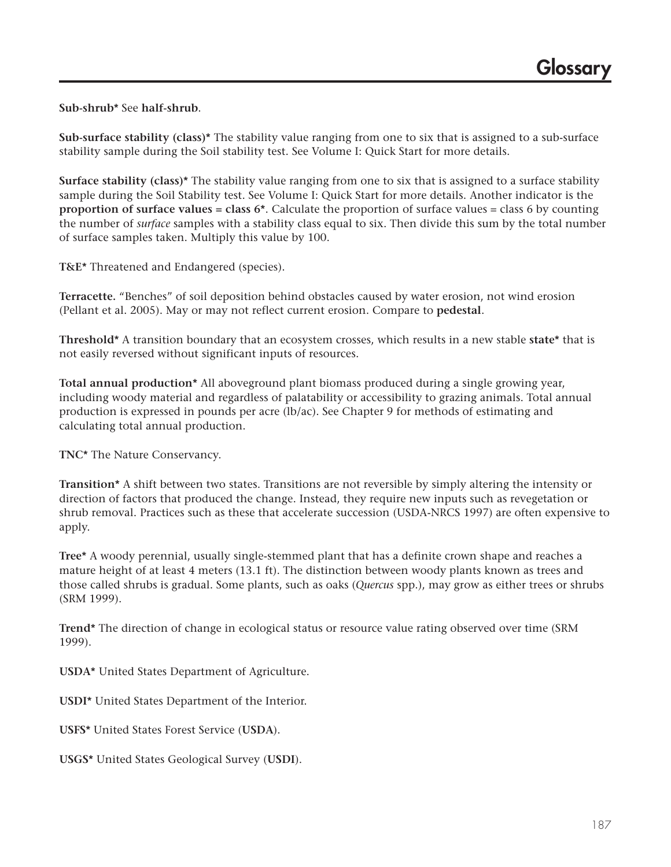**Sub-shrub\*** See **half-shrub**.

**Sub-surface stability (class)\*** The stability value ranging from one to six that is assigned to a sub-surface stability sample during the Soil stability test. See Volume I: Quick Start for more details.

**Surface stability (class)\*** The stability value ranging from one to six that is assigned to a surface stability sample during the Soil Stability test. See Volume I: Quick Start for more details. Another indicator is the **proportion of surface values = class 6\***. Calculate the proportion of surface values = class 6 by counting the number of *surface* samples with a stability class equal to six. Then divide this sum by the total number of surface samples taken. Multiply this value by 100.

**T&E\*** Threatened and Endangered (species).

**Terracette.** "Benches" of soil deposition behind obstacles caused by water erosion, not wind erosion (Pellant et al. 2005). May or may not reflect current erosion. Compare to **pedestal**.

**Threshold\*** A transition boundary that an ecosystem crosses, which results in a new stable **state\*** that is not easily reversed without significant inputs of resources.

**Total annual production\*** All aboveground plant biomass produced during a single growing year, including woody material and regardless of palatability or accessibility to grazing animals. Total annual production is expressed in pounds per acre (lb/ac). See Chapter 9 for methods of estimating and calculating total annual production.

**TNC\*** The Nature Conservancy.

**Transition\*** A shift between two states. Transitions are not reversible by simply altering the intensity or direction of factors that produced the change. Instead, they require new inputs such as revegetation or shrub removal. Practices such as these that accelerate succession (USDA-NRCS 1997) are often expensive to apply.

**Tree\*** A woody perennial, usually single-stemmed plant that has a definite crown shape and reaches a mature height of at least 4 meters (13.1 ft). The distinction between woody plants known as trees and those called shrubs is gradual. Some plants, such as oaks (*Quercus* spp.), may grow as either trees or shrubs (SRM 1999).

**Trend\*** The direction of change in ecological status or resource value rating observed over time (SRM 1999).

**USDA\*** United States Department of Agriculture.

**USDI\*** United States Department of the Interior.

**USFS\*** United States Forest Service (**USDA**).

**USGS\*** United States Geological Survey (**USDI**).